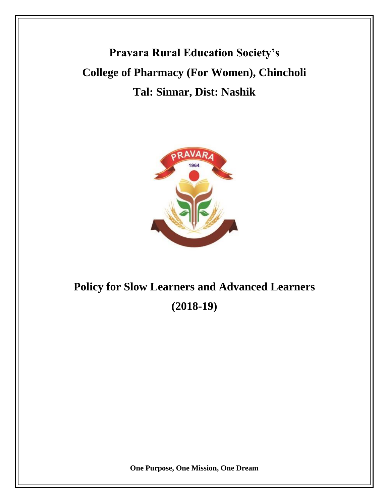**Pravara Rural Education Society's College of Pharmacy (For Women), Chincholi Tal: Sinnar, Dist: Nashik**



# **Policy for Slow Learners and Advanced Learners (2018-19)**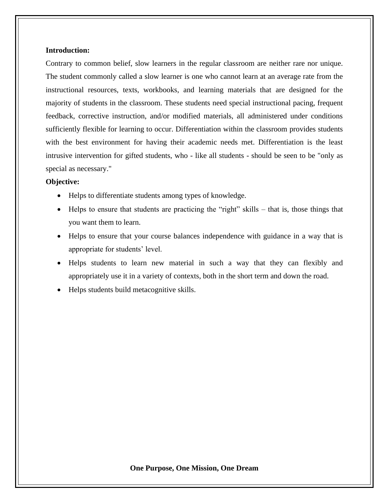### **Introduction:**

Contrary to common belief, slow learners in the regular classroom are neither rare nor unique. The student commonly called a slow learner is one who cannot learn at an average rate from the instructional resources, texts, workbooks, and learning materials that are designed for the majority of students in the classroom. These students need special instructional pacing, frequent feedback, corrective instruction, and/or modified materials, all administered under conditions sufficiently flexible for learning to occur. Differentiation within the classroom provides students with the best environment for having their academic needs met. Differentiation is the least intrusive intervention for gifted students, who - like all students - should be seen to be "only as special as necessary."

# **Objective:**

- Helps to differentiate students among types of knowledge.
- Helps to ensure that students are practicing the "right" skills that is, those things that you want them to learn.
- Helps to ensure that your course balances independence with guidance in a way that is appropriate for students' level.
- Helps students to learn new material in such a way that they can flexibly and appropriately use it in a variety of contexts, both in the short term and down the road.
- Helps students build metacognitive skills.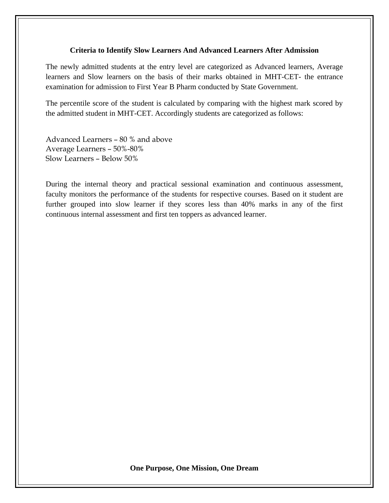# **Criteria to Identify Slow Learners And Advanced Learners After Admission**

The newly admitted students at the entry level are categorized as Advanced learners, Average learners and Slow learners on the basis of their marks obtained in MHT-CET- the entrance examination for admission to First Year B Pharm conducted by State Government.

The percentile score of the student is calculated by comparing with the highest mark scored by the admitted student in MHT-CET. Accordingly students are categorized as follows:

Advanced Learners – 80 % and above Average Learners – 50%-80% Slow Learners – Below 50%

During the internal theory and practical sessional examination and continuous assessment, faculty monitors the performance of the students for respective courses. Based on it student are further grouped into slow learner if they scores less than 40% marks in any of the first continuous internal assessment and first ten toppers as advanced learner.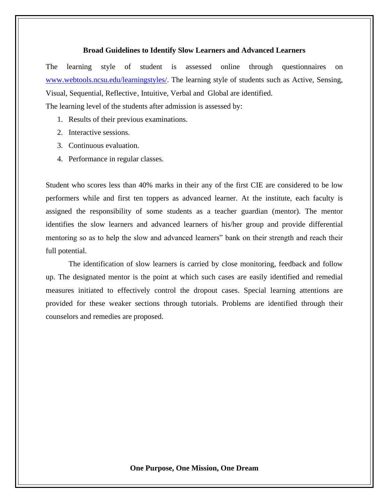#### **Broad Guidelines to Identify Slow Learners and Advanced Learners**

The learning style of student is assessed online through questionnaires on [www.webtools.ncsu.edu/learningstyles/.](www.webtools.ncsu.edu/learningstyles/) The learning style of students such as Active, Sensing, Visual, Sequential, Reflective, Intuitive, Verbal and Global are identified. The learning level of the students after admission is assessed by:

- 1. Results of their previous examinations.
- 2. Interactive sessions.
- 3. Continuous evaluation.
- 4. Performance in regular classes.

Student who scores less than 40% marks in their any of the first CIE are considered to be low performers while and first ten toppers as advanced learner. At the institute, each faculty is assigned the responsibility of some students as a teacher guardian (mentor). The mentor identifies the slow learners and advanced learners of his/her group and provide differential mentoring so as to help the slow and advanced learners" bank on their strength and reach their full potential.

The identification of slow learners is carried by close monitoring, feedback and follow up. The designated mentor is the point at which such cases are easily identified and remedial measures initiated to effectively control the dropout cases. Special learning attentions are provided for these weaker sections through tutorials. Problems are identified through their counselors and remedies are proposed.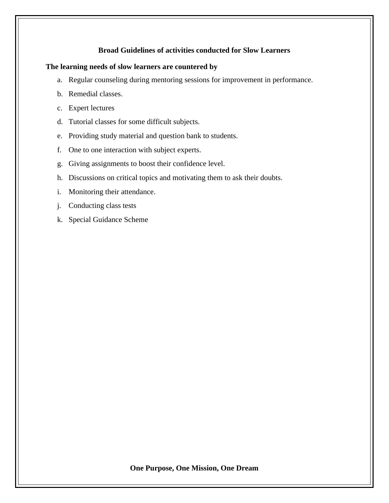# **Broad Guidelines of activities conducted for Slow Learners**

# **The learning needs of slow learners are countered by**

- a. Regular counseling during mentoring sessions for improvement in performance.
- b. Remedial classes.
- c. Expert lectures
- d. Tutorial classes for some difficult subjects.
- e. Providing study material and question bank to students.
- f. One to one interaction with subject experts.
- g. Giving assignments to boost their confidence level.
- h. Discussions on critical topics and motivating them to ask their doubts.
- i. Monitoring their attendance.
- j. Conducting class tests
- k. Special Guidance Scheme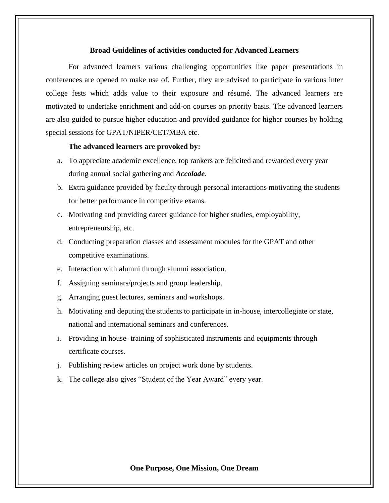#### **Broad Guidelines of activities conducted for Advanced Learners**

For advanced learners various challenging opportunities like paper presentations in conferences are opened to make use of. Further, they are advised to participate in various inter college fests which adds value to their exposure and résumé. The advanced learners are motivated to undertake enrichment and add-on courses on priority basis. The advanced learners are also guided to pursue higher education and provided guidance for higher courses by holding special sessions for GPAT/NIPER/CET/MBA etc.

## **The advanced learners are provoked by:**

- a. To appreciate academic excellence, top rankers are felicited and rewarded every year during annual social gathering and *Accolade*.
- b. Extra guidance provided by faculty through personal interactions motivating the students for better performance in competitive exams.
- c. Motivating and providing career guidance for higher studies, employability, entrepreneurship, etc.
- d. Conducting preparation classes and assessment modules for the GPAT and other competitive examinations.
- e. Interaction with alumni through alumni association.
- f. Assigning seminars/projects and group leadership.
- g. Arranging guest lectures, seminars and workshops.
- h. Motivating and deputing the students to participate in in-house, intercollegiate or state, national and international seminars and conferences.
- i. Providing in house- training of sophisticated instruments and equipments through certificate courses.
- j. Publishing review articles on project work done by students.
- k. The college also gives "Student of the Year Award" every year.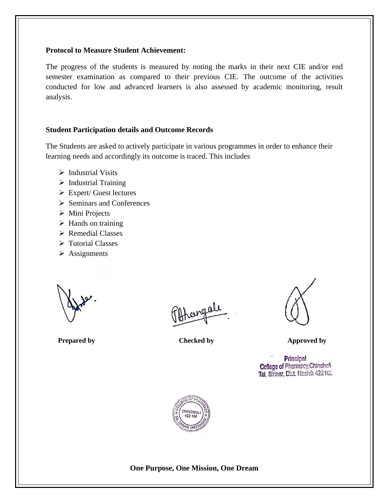# **Protocol to Measure Student Achievement:**

The progress of the students is measured by noting the marks in their next CIE and/or end semester examination as compared to their previous CIE. The outcome of the activities conducted for low and advanced learners is also assessed by academic monitoring, result analysis.

# **Student Participation details and Outcome Records**

The Students are asked to actively participate in various programmes in order to enhance their learning needs and accordingly its outcome is traced. This includes

- ➢ Industrial Visits
- ➢ Industrial Training
- ➢ Expert/ Guest lectures
- ➢ Seminars and Conferences
- ➢ Mini Projects
- $\triangleright$  Hands on training
- ➢ Remedial Classes
- ➢ Tutorial Classes
- ➢ Assignments

hengale

**Prepared** by Checked by **Checked by** Approved by

Principal College of Pharmacy, Chinchoff Tal. Signar, Dist. Nashik 422102

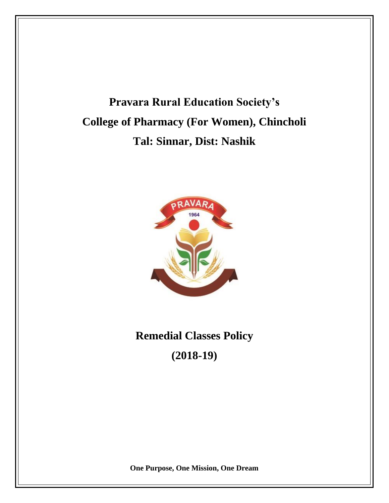# **Pravara Rural Education Society's College of Pharmacy (For Women), Chincholi Tal: Sinnar, Dist: Nashik**



# **Remedial Classes Policy (2018-19)**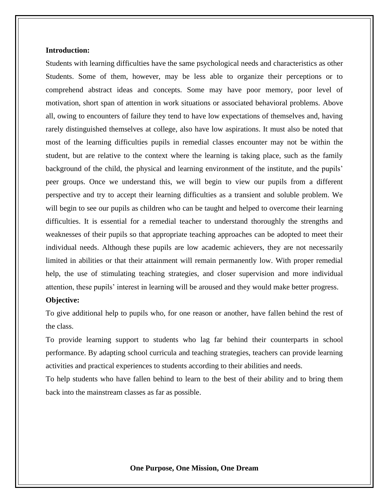### **Introduction:**

Students with learning difficulties have the same psychological needs and characteristics as other Students. Some of them, however, may be less able to organize their perceptions or to comprehend abstract ideas and concepts. Some may have poor memory, poor level of motivation, short span of attention in work situations or associated behavioral problems. Above all, owing to encounters of failure they tend to have low expectations of themselves and, having rarely distinguished themselves at college, also have low aspirations. It must also be noted that most of the learning difficulties pupils in remedial classes encounter may not be within the student, but are relative to the context where the learning is taking place, such as the family background of the child, the physical and learning environment of the institute, and the pupils' peer groups. Once we understand this, we will begin to view our pupils from a different perspective and try to accept their learning difficulties as a transient and soluble problem. We will begin to see our pupils as children who can be taught and helped to overcome their learning difficulties. It is essential for a remedial teacher to understand thoroughly the strengths and weaknesses of their pupils so that appropriate teaching approaches can be adopted to meet their individual needs. Although these pupils are low academic achievers, they are not necessarily limited in abilities or that their attainment will remain permanently low. With proper remedial help, the use of stimulating teaching strategies, and closer supervision and more individual attention, these pupils' interest in learning will be aroused and they would make better progress.

#### **Objective:**

To give additional help to pupils who, for one reason or another, have fallen behind the rest of the class.

To provide learning support to students who lag far behind their counterparts in school performance. By adapting school curricula and teaching strategies, teachers can provide learning activities and practical experiences to students according to their abilities and needs.

To help students who have fallen behind to learn to the best of their ability and to bring them back into the mainstream classes as far as possible.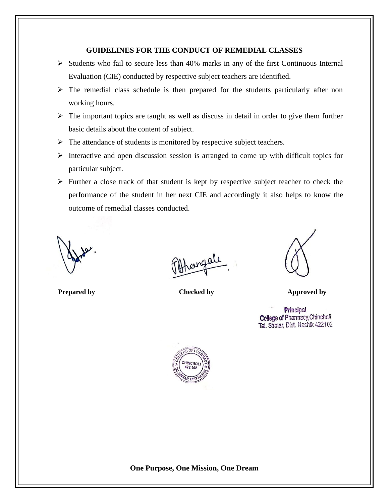# **GUIDELINES FOR THE CONDUCT OF REMEDIAL CLASSES**

- $\triangleright$  Students who fail to secure less than 40% marks in any of the first Continuous Internal Evaluation (CIE) conducted by respective subject teachers are identified.
- $\triangleright$  The remedial class schedule is then prepared for the students particularly after non working hours.
- $\triangleright$  The important topics are taught as well as discuss in detail in order to give them further basic details about the content of subject.
- ➢ The attendance of students is monitored by respective subject teachers.
- ➢ Interactive and open discussion session is arranged to come up with difficult topics for particular subject.
- ➢ Further a close track of that student is kept by respective subject teacher to check the performance of the student in her next CIE and accordingly it also helps to know the outcome of remedial classes conducted.

rengale



**Prepared** by Checked by Checked by Approved by

Principal Cellege of Pharmacy, Chincholi Tal. Sinnar, Dist. Nashik 422102

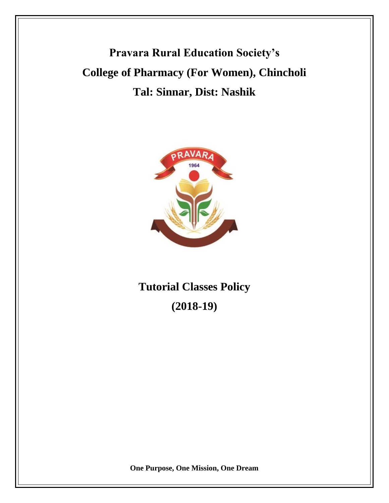**Pravara Rural Education Society's College of Pharmacy (For Women), Chincholi Tal: Sinnar, Dist: Nashik**



**Tutorial Classes Policy (2018-19)**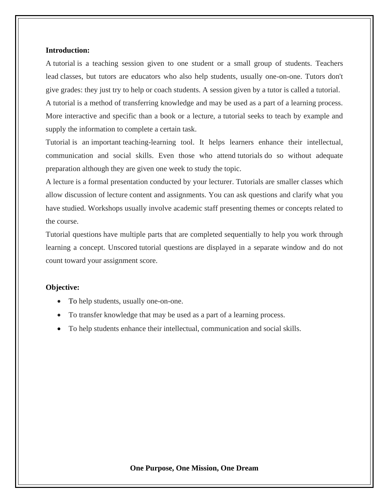#### **Introduction:**

A tutorial is a teaching session given to one student or a small group of students. Teachers lead classes, but tutors are educators who also help students, usually one-on-one. Tutors don't give grades: they just try to help or coach students. A session given by a tutor is called a tutorial. A tutorial is a method of transferring knowledge and may be used as a part of a learning process. More interactive and specific than a book or a lecture, a tutorial seeks to teach by example and supply the information to complete a certain task.

Tutorial is an important teaching-learning tool. It helps learners enhance their intellectual, communication and social skills. Even those who attend tutorials do so without adequate preparation although they are given one week to study the topic.

A lecture is a formal presentation conducted by your lecturer. Tutorials are smaller classes which allow discussion of lecture content and assignments. You can ask questions and clarify what you have studied. Workshops usually involve academic staff presenting themes or concepts related to the course.

Tutorial questions have multiple parts that are completed sequentially to help you work through learning a concept. Unscored tutorial questions are displayed in a separate window and do not count toward your assignment score.

### **Objective:**

- To help students, usually one-on-one.
- To transfer knowledge that may be used as a part of a learning process.
- To help students enhance their intellectual, communication and social skills.